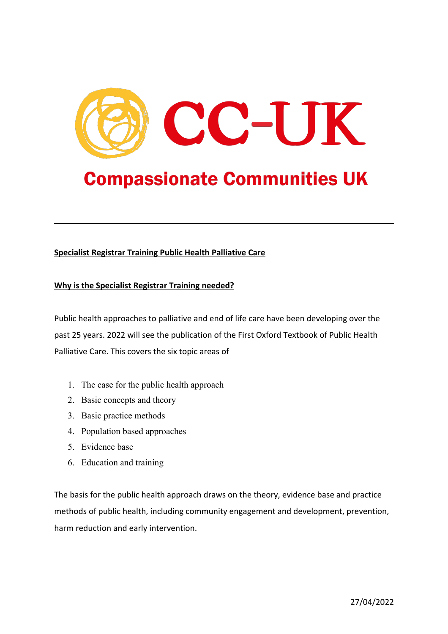

# **Compassionate Communities UK**

# **Specialist Registrar Training Public Health Palliative Care**

## **Why is the Specialist Registrar Training needed?**

Public health approaches to palliative and end of life care have been developing over the past 25 years. 2022 will see the publication of the First Oxford Textbook of Public Health Palliative Care. This covers the six topic areas of

- 1. The case for the public health approach
- 2. Basic concepts and theory
- 3. Basic practice methods
- 4. Population based approaches
- 5. Evidence base
- 6. Education and training

The basis for the public health approach draws on the theory, evidence base and practice methods of public health, including community engagement and development, prevention, harm reduction and early intervention.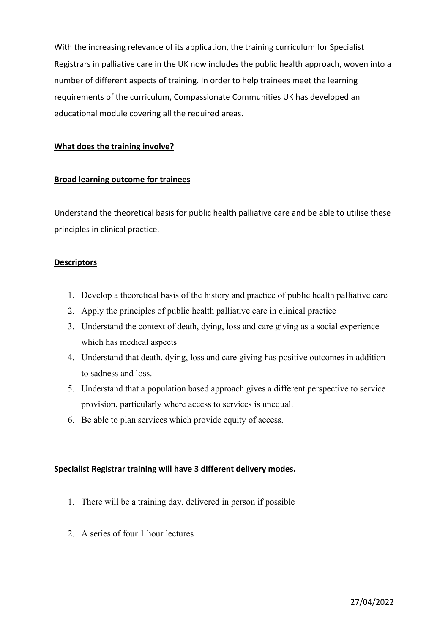With the increasing relevance of its application, the training curriculum for Specialist Registrars in palliative care in the UK now includes the public health approach, woven into a number of different aspects of training. In order to help trainees meet the learning requirements of the curriculum, Compassionate Communities UK has developed an educational module covering all the required areas.

#### **What does the training involve?**

#### **Broad learning outcome for trainees**

Understand the theoretical basis for public health palliative care and be able to utilise these principles in clinical practice.

#### **Descriptors**

- 1. Develop a theoretical basis of the history and practice of public health palliative care
- 2. Apply the principles of public health palliative care in clinical practice
- 3. Understand the context of death, dying, loss and care giving as a social experience which has medical aspects
- 4. Understand that death, dying, loss and care giving has positive outcomes in addition to sadness and loss.
- 5. Understand that a population based approach gives a different perspective to service provision, particularly where access to services is unequal.
- 6. Be able to plan services which provide equity of access.

#### **Specialist Registrar training will have 3 different delivery modes.**

- 1. There will be a training day, delivered in person if possible
- 2. A series of four 1 hour lectures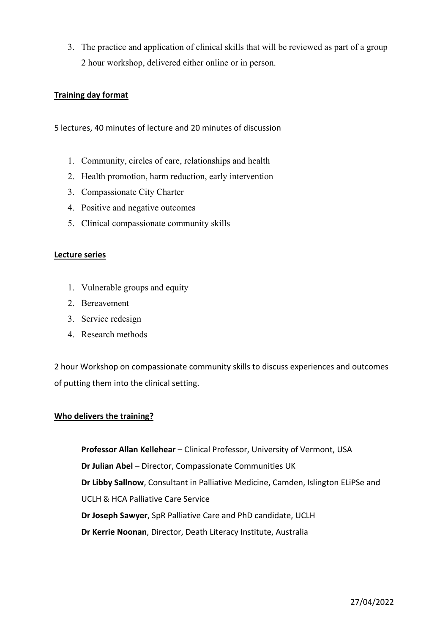3. The practice and application of clinical skills that will be reviewed as part of a group 2 hour workshop, delivered either online or in person.

### **Training day format**

5 lectures, 40 minutes of lecture and 20 minutes of discussion

- 1. Community, circles of care, relationships and health
- 2. Health promotion, harm reduction, early intervention
- 3. Compassionate City Charter
- 4. Positive and negative outcomes
- 5. Clinical compassionate community skills

#### **Lecture series**

- 1. Vulnerable groups and equity
- 2. Bereavement
- 3. Service redesign
- 4. Research methods

2 hour Workshop on compassionate community skills to discuss experiences and outcomes of putting them into the clinical setting.

#### **Who delivers the training?**

**Professor Allan Kellehear** – Clinical Professor, University of Vermont, USA **Dr Julian Abel** – Director, Compassionate Communities UK **Dr Libby Sallnow**, Consultant in Palliative Medicine, Camden, Islington ELiPSe and UCLH & HCA Palliative Care Service **Dr Joseph Sawyer**, SpR Palliative Care and PhD candidate, UCLH **Dr Kerrie Noonan**, Director, Death Literacy Institute, Australia